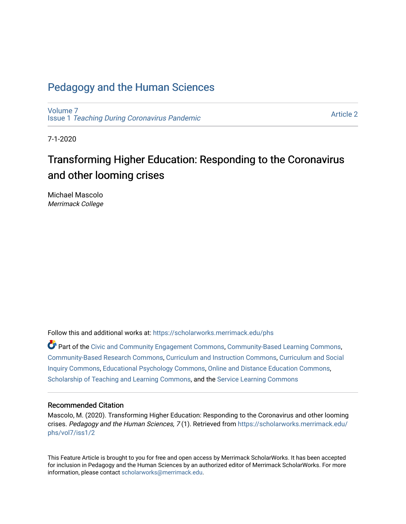# [Pedagogy and the Human Sciences](https://scholarworks.merrimack.edu/phs)

[Volume 7](https://scholarworks.merrimack.edu/phs/vol7) Issue 1 [Teaching During Coronavirus Pandemic](https://scholarworks.merrimack.edu/phs/vol7/iss1)

[Article 2](https://scholarworks.merrimack.edu/phs/vol7/iss1/2) 

7-1-2020

# Transforming Higher Education: Responding to the Coronavirus and other looming crises

Michael Mascolo Merrimack College

Follow this and additional works at: [https://scholarworks.merrimack.edu/phs](https://scholarworks.merrimack.edu/phs?utm_source=scholarworks.merrimack.edu%2Fphs%2Fvol7%2Fiss1%2F2&utm_medium=PDF&utm_campaign=PDFCoverPages) 

Part of the [Civic and Community Engagement Commons](http://network.bepress.com/hgg/discipline/1028?utm_source=scholarworks.merrimack.edu%2Fphs%2Fvol7%2Fiss1%2F2&utm_medium=PDF&utm_campaign=PDFCoverPages), [Community-Based Learning Commons](http://network.bepress.com/hgg/discipline/1046?utm_source=scholarworks.merrimack.edu%2Fphs%2Fvol7%2Fiss1%2F2&utm_medium=PDF&utm_campaign=PDFCoverPages), [Community-Based Research Commons](http://network.bepress.com/hgg/discipline/1047?utm_source=scholarworks.merrimack.edu%2Fphs%2Fvol7%2Fiss1%2F2&utm_medium=PDF&utm_campaign=PDFCoverPages), [Curriculum and Instruction Commons](http://network.bepress.com/hgg/discipline/786?utm_source=scholarworks.merrimack.edu%2Fphs%2Fvol7%2Fiss1%2F2&utm_medium=PDF&utm_campaign=PDFCoverPages), [Curriculum and Social](http://network.bepress.com/hgg/discipline/1038?utm_source=scholarworks.merrimack.edu%2Fphs%2Fvol7%2Fiss1%2F2&utm_medium=PDF&utm_campaign=PDFCoverPages)  [Inquiry Commons,](http://network.bepress.com/hgg/discipline/1038?utm_source=scholarworks.merrimack.edu%2Fphs%2Fvol7%2Fiss1%2F2&utm_medium=PDF&utm_campaign=PDFCoverPages) [Educational Psychology Commons](http://network.bepress.com/hgg/discipline/798?utm_source=scholarworks.merrimack.edu%2Fphs%2Fvol7%2Fiss1%2F2&utm_medium=PDF&utm_campaign=PDFCoverPages), [Online and Distance Education Commons,](http://network.bepress.com/hgg/discipline/1296?utm_source=scholarworks.merrimack.edu%2Fphs%2Fvol7%2Fiss1%2F2&utm_medium=PDF&utm_campaign=PDFCoverPages) [Scholarship of Teaching and Learning Commons,](http://network.bepress.com/hgg/discipline/1328?utm_source=scholarworks.merrimack.edu%2Fphs%2Fvol7%2Fiss1%2F2&utm_medium=PDF&utm_campaign=PDFCoverPages) and the [Service Learning Commons](http://network.bepress.com/hgg/discipline/1024?utm_source=scholarworks.merrimack.edu%2Fphs%2Fvol7%2Fiss1%2F2&utm_medium=PDF&utm_campaign=PDFCoverPages) 

#### Recommended Citation

Mascolo, M. (2020). Transforming Higher Education: Responding to the Coronavirus and other looming crises. Pedagogy and the Human Sciences, 7(1). Retrieved from [https://scholarworks.merrimack.edu/](https://scholarworks.merrimack.edu/phs/vol7/iss1/2?utm_source=scholarworks.merrimack.edu%2Fphs%2Fvol7%2Fiss1%2F2&utm_medium=PDF&utm_campaign=PDFCoverPages) [phs/vol7/iss1/2](https://scholarworks.merrimack.edu/phs/vol7/iss1/2?utm_source=scholarworks.merrimack.edu%2Fphs%2Fvol7%2Fiss1%2F2&utm_medium=PDF&utm_campaign=PDFCoverPages)

This Feature Article is brought to you for free and open access by Merrimack ScholarWorks. It has been accepted for inclusion in Pedagogy and the Human Sciences by an authorized editor of Merrimack ScholarWorks. For more information, please contact [scholarworks@merrimack.edu.](mailto:scholarworks@merrimack.edu)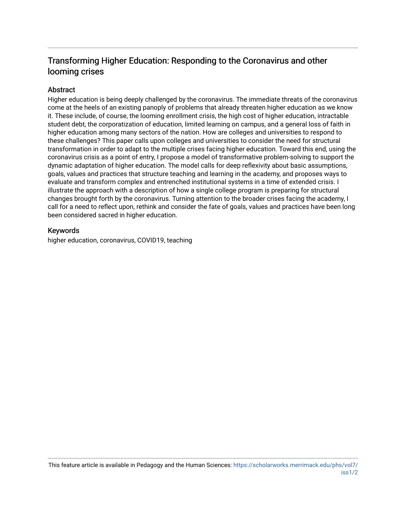## Transforming Higher Education: Responding to the Coronavirus and other looming crises

#### **Abstract**

Higher education is being deeply challenged by the coronavirus. The immediate threats of the coronavirus come at the heels of an existing panoply of problems that already threaten higher education as we know it. These include, of course, the looming enrollment crisis, the high cost of higher education, intractable student debt, the corporatization of education, limited learning on campus, and a general loss of faith in higher education among many sectors of the nation. How are colleges and universities to respond to these challenges? This paper calls upon colleges and universities to consider the need for structural transformation in order to adapt to the multiple crises facing higher education. Toward this end, using the coronavirus crisis as a point of entry, I propose a model of transformative problem-solving to support the dynamic adaptation of higher education. The model calls for deep reflexivity about basic assumptions, goals, values and practices that structure teaching and learning in the academy, and proposes ways to evaluate and transform complex and entrenched institutional systems in a time of extended crisis. I illustrate the approach with a description of how a single college program is preparing for structural changes brought forth by the coronavirus. Turning attention to the broader crises facing the academy, I call for a need to reflect upon, rethink and consider the fate of goals, values and practices have been long been considered sacred in higher education.

#### Keywords

higher education, coronavirus, COVID19, teaching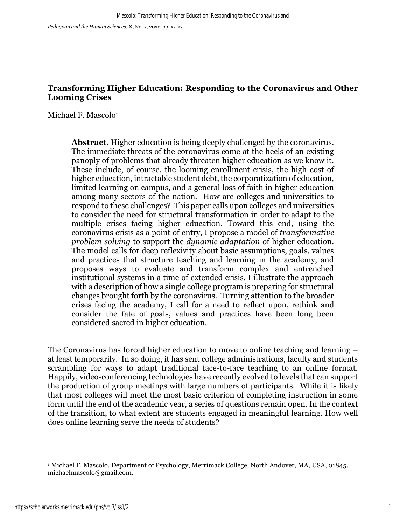*Pedagogy and the Human Sciences*, **X**, No. x, 20xx, pp. xx-xx.

## **Transforming Higher Education: Responding to the Coronavirus and Other Looming Crises**

Michael F. Mascolo<sup>1</sup>

**Abstract.** Higher education is being deeply challenged by the coronavirus. The immediate threats of the coronavirus come at the heels of an existing panoply of problems that already threaten higher education as we know it. These include, of course, the looming enrollment crisis, the high cost of higher education, intractable student debt, the corporatization of education, limited learning on campus, and a general loss of faith in higher education among many sectors of the nation. How are colleges and universities to respond to these challenges? This paper calls upon colleges and universities to consider the need for structural transformation in order to adapt to the multiple crises facing higher education. Toward this end, using the coronavirus crisis as a point of entry, I propose a model of *transformative problem-solving* to support the *dynamic adaptation* of higher education. The model calls for deep reflexivity about basic assumptions, goals, values and practices that structure teaching and learning in the academy, and proposes ways to evaluate and transform complex and entrenched institutional systems in a time of extended crisis. I illustrate the approach with a description of how a single college program is preparing for structural changes brought forth by the coronavirus. Turning attention to the broader crises facing the academy, I call for a need to reflect upon, rethink and consider the fate of goals, values and practices have been long been considered sacred in higher education.

The Coronavirus has forced higher education to move to online teaching and learning – at least temporarily. In so doing, it has sent college administrations, faculty and students scrambling for ways to adapt traditional face-to-face teaching to an online format. Happily, video-conferencing technologies have recently evolved to levels that can support the production of group meetings with large numbers of participants. While it is likely that most colleges will meet the most basic criterion of completing instruction in some form until the end of the academic year, a series of questions remain open. In the context of the transition, to what extent are students engaged in meaningful learning. How well does online learning serve the needs of students?

<sup>1</sup> Michael F. Mascolo, Department of Psychology, Merrimack College, North Andover, MA, USA, 01845, michaelmascolo@gmail.com.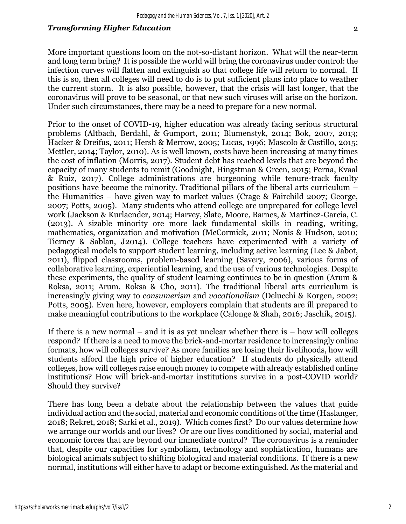More important questions loom on the not-so-distant horizon. What will the near-term and long term bring? It is possible the world will bring the coronavirus under control: the infection curves will flatten and extinguish so that college life will return to normal. If this is so, then all colleges will need to do is to put sufficient plans into place to weather the current storm. It is also possible, however, that the crisis will last longer, that the coronavirus will prove to be seasonal, or that new such viruses will arise on the horizon. Under such circumstances, there may be a need to prepare for a new normal.

Prior to the onset of COVID-19, higher education was already facing serious structural problems (Altbach, Berdahl, & Gumport, 2011; Blumenstyk, 2014; Bok, 2007, 2013; Hacker & Dreifus, 2011; Hersh & Merrow, 2005; Lucas, 1996; Mascolo & Castillo, 2015; Mettler, 2014; Taylor, 2010). As is well known, costs have been increasing at many times the cost of inflation (Morris, 2017). Student debt has reached levels that are beyond the capacity of many students to remit (Goodnight, Hingstman & Green, 2015; Perna, Kvaal & Ruiz, 2017). College administrations are burgeoning while tenure-track faculty positions have become the minority. Traditional pillars of the liberal arts curriculum – the Humanities – have given way to market values (Crage & Fairchild 2007; George, 2007; Potts, 2005). Many students who attend college are unprepared for college level work (Jackson & Kurlaender, 2014; Harvey, Slate, Moore, Barnes, & Martinez-Garcia, C. (2013). A sizable minority ore more lack fundamental skills in reading, writing, mathematics, organization and motivation (McCormick, 2011; Nonis & Hudson, 2010; Tierney & Sablan, J2014). College teachers have experimented with a variety of pedagogical models to support student learning, including active learning (Lee & Jabot, 2011), flipped classrooms, problem-based learning (Savery, 2006), various forms of collaborative learning, experiential learning, and the use of various technologies. Despite these experiments, the quality of student learning continues to be in question (Arum & Roksa, 2011; Arum, Roksa & Cho, 2011). The traditional liberal arts curriculum is increasingly giving way to *consumerism* and *vocationalism* (Delucchi & Korgen, 2002; Potts, 2005). Even here, however, employers complain that students are ill prepared to make meaningful contributions to the workplace (Calonge & Shah, 2016; Jaschik, 2015).

If there is a new normal – and it is as yet unclear whether there is  $-$  how will colleges respond? If there is a need to move the brick-and-mortar residence to increasingly online formats, how will colleges survive? As more families are losing their livelihoods, how will students afford the high price of higher education? If students do physically attend colleges, how will colleges raise enough money to compete with already established online institutions? How will brick-and-mortar institutions survive in a post-COVID world? Should they survive?

There has long been a debate about the relationship between the values that guide individual action and the social, material and economic conditions of the time (Haslanger, 2018; Rekret, 2018; Sarki et al., 2019). Which comes first? Do our values determine how we arrange our worlds and our lives? Or are our lives conditioned by social, material and economic forces that are beyond our immediate control? The coronavirus is a reminder that, despite our capacities for symbolism, technology and sophistication, humans are biological animals subject to shifting biological and material conditions. If there is a new normal, institutions will either have to adapt or become extinguished. As the material and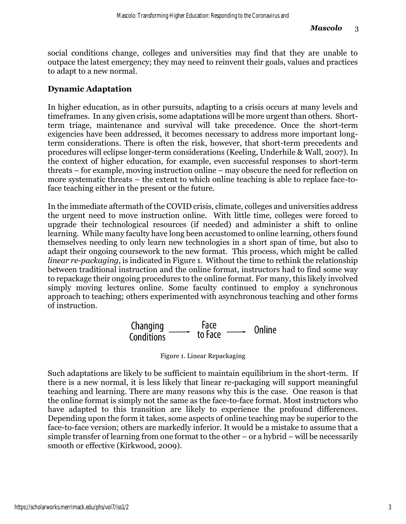social conditions change, colleges and universities may find that they are unable to outpace the latest emergency; they may need to reinvent their goals, values and practices to adapt to a new normal.

## **Dynamic Adaptation**

In higher education, as in other pursuits, adapting to a crisis occurs at many levels and timeframes. In any given crisis, some adaptations will be more urgent than others. Shortterm triage, maintenance and survival will take precedence. Once the short-term exigencies have been addressed, it becomes necessary to address more important longterm considerations. There is often the risk, however, that short-term precedents and procedures will eclipse longer-term considerations (Keeling, Underhile & Wall, 2007). In the context of higher education, for example, even successful responses to short-term threats – for example, moving instruction online – may obscure the need for reflection on more systematic threats – the extent to which online teaching is able to replace face-toface teaching either in the present or the future.

In the immediate aftermath of the COVID crisis, climate, colleges and universities address the urgent need to move instruction online. With little time, colleges were forced to upgrade their technological resources (if needed) and administer a shift to online learning. While many faculty have long been accustomed to online learning, others found themselves needing to only learn new technologies in a short span of time, but also to adapt their ongoing coursework to the new format. This process, which might be called *linear re-packaging*, is indicated in Figure 1. Without the time to rethink the relationship between traditional instruction and the online format, instructors had to find some way to repackage their ongoing procedures to the online format. For many, this likely involved simply moving lectures online. Some faculty continued to employ a synchronous approach to teaching; others experimented with asynchronous teaching and other forms of instruction.

Figure 1. Linear Repackaging

Such adaptations are likely to be sufficient to maintain equilibrium in the short-term. If there is a new normal, it is less likely that linear re-packaging will support meaningful teaching and learning. There are many reasons why this is the case. One reason is that the online format is simply not the same as the face-to-face format. Most instructors who have adapted to this transition are likely to experience the profound differences. Depending upon the form it takes, some aspects of online teaching may be superior to the face-to-face version; others are markedly inferior. It would be a mistake to assume that a simple transfer of learning from one format to the other – or a hybrid – will be necessarily smooth or effective (Kirkwood, 2009).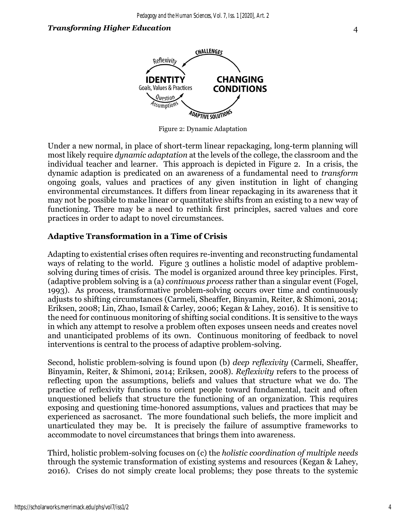

Figure 2: Dynamic Adaptation

Under a new normal, in place of short-term linear repackaging, long-term planning will most likely require *dynamic adaptation* at the levels of the college, the classroom and the individual teacher and learner. This approach is depicted in Figure 2. In a crisis, the dynamic adaption is predicated on an awareness of a fundamental need to *transform* ongoing goals, values and practices of any given institution in light of changing environmental circumstances. It differs from linear repackaging in its awareness that it may not be possible to make linear or quantitative shifts from an existing to a new way of functioning. There may be a need to rethink first principles, sacred values and core practices in order to adapt to novel circumstances.

## **Adaptive Transformation in a Time of Crisis**

Adapting to existential crises often requires re-inventing and reconstructing fundamental ways of relating to the world. Figure 3 outlines a holistic model of adaptive problemsolving during times of crisis. The model is organized around three key principles. First, (adaptive problem solving is a (a) *continuous process* rather than a singular event (Fogel, 1993). As process, transformative problem-solving occurs over time and continuously adjusts to shifting circumstances (Carmeli, Sheaffer, Binyamin, Reiter, & Shimoni, 2014; Eriksen, 2008; Lin, Zhao, Ismail & Carley, 2006; Kegan & Lahey, 2016). It is sensitive to the need for continuous monitoring of shifting social conditions. It is sensitive to the ways in which any attempt to resolve a problem often exposes unseen needs and creates novel and unanticipated problems of its own. Continuous monitoring of feedback to novel interventions is central to the process of adaptive problem-solving.

Second, holistic problem-solving is found upon (b) *deep reflexivity* (Carmeli, Sheaffer, Binyamin, Reiter, & Shimoni, 2014; Eriksen, 2008). *Reflexivity* refers to the process of reflecting upon the assumptions, beliefs and values that structure what we do. The practice of reflexivity functions to orient people toward fundamental, tacit and often unquestioned beliefs that structure the functioning of an organization. This requires exposing and questioning time-honored assumptions, values and practices that may be experienced as sacrosanct. The more foundational such beliefs, the more implicit and unarticulated they may be. It is precisely the failure of assumptive frameworks to accommodate to novel circumstances that brings them into awareness.

Third, holistic problem-solving focuses on (c) the *holistic coordination of multiple needs* through the systemic transformation of existing systems and resources (Kegan & Lahey, 2016). Crises do not simply create local problems; they pose threats to the systemic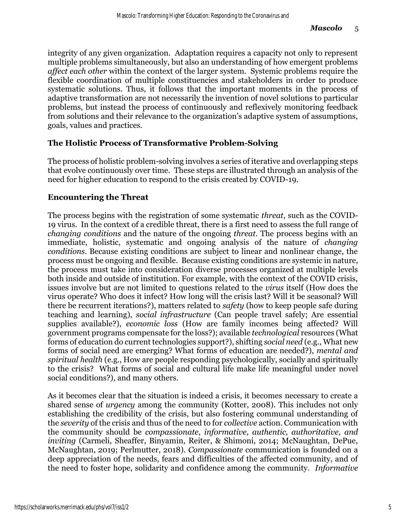integrity of any given organization. Adaptation requires a capacity not only to represent multiple problems simultaneously, but also an understanding of how emergent problems *affect each other* within the context of the larger system. Systemic problems require the flexible coordination of multiple constituencies and stakeholders in order to produce systematic solutions. Thus, it follows that the important moments in the process of adaptive transformation are not necessarily the invention of novel solutions to particular problems, but instead the process of continuously and reflexively monitoring feedback from solutions and their relevance to the organization's adaptive system of assumptions, goals, values and practices.

## **The Holistic Process of Transformative Problem-Solving**

The process of holistic problem-solving involves a series of iterative and overlapping steps that evolve continuously over time. These steps are illustrated through an analysis of the need for higher education to respond to the crisis created by COVID-19.

## **Encountering the Threat**

The process begins with the registration of some systematic *threat*, such as the COVID-19 virus. In the context of a credible threat, there is a first need to assess the full range of *changing conditions* and the nature of the ongoing *threat*. The process begins with an immediate, holistic, systematic and ongoing analysis of the nature of *changing conditions*. Because existing conditions are subject to linear and nonlinear change, the process must be ongoing and flexible. Because existing conditions are systemic in nature, the process must take into consideration diverse processes organized at multiple levels both inside and outside of institution. For example, with the context of the COVID crisis, issues involve but are not limited to questions related to the *virus* itself (How does the virus operate? Who does it infect? How long will the crisis last? Will it be seasonal? Will there be recurrent iterations?), matters related to *safety* (how to keep people safe during teaching and learning), *social infrastructure* (Can people travel safely; Are essential supplies available?), *economic loss* (How are family incomes being affected? Will government programs compensate for the loss?); available *technological* resources (What forms of education do current technologies support?), shifting *social need* (e.g., What new forms of social need are emerging? What forms of education are needed?), *mental and spiritual health* (e.g., How are people responding psychologically, socially and spiritually to the crisis? What forms of social and cultural life make life meaningful under novel social conditions?), and many others.

As it becomes clear that the situation is indeed a crisis, it becomes necessary to create a shared sense of *urgency* among the community (Kotter, 2008). This includes not only establishing the credibility of the crisis, but also fostering communal understanding of the *severity* of the crisis and thus of the need to for *collective* action. Communication with the community should be *compassionate*, *informative, authentic, authoritative, and inviting* (Carmeli, Sheaffer, Binyamin, Reiter, & Shimoni, 2014; McNaughtan, DePue, McNaughtan, 2019; Perlmutter, 2018). *Compassionate* communication is founded on a deep appreciation of the needs, fears and difficulties of the affected community, and of the need to foster hope, solidarity and confidence among the community. *Informative*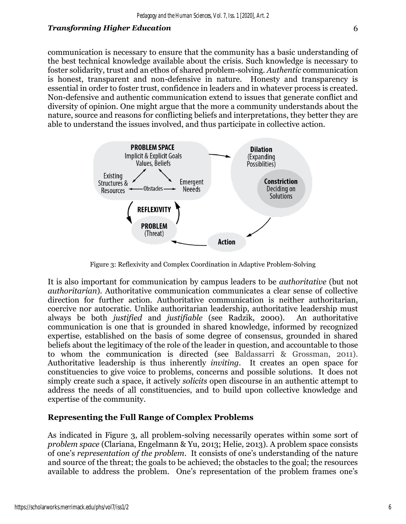communication is necessary to ensure that the community has a basic understanding of the best technical knowledge available about the crisis. Such knowledge is necessary to foster solidarity, trust and an ethos of shared problem-solving. *Authentic* communication is honest, transparent and non-defensive in nature. Honesty and transparency is essential in order to foster trust, confidence in leaders and in whatever process is created. Non-defensive and authentic communication extend to issues that generate conflict and diversity of opinion. One might argue that the more a community understands about the nature, source and reasons for conflicting beliefs and interpretations, they better they are able to understand the issues involved, and thus participate in collective action.



Figure 3: Reflexivity and Complex Coordination in Adaptive Problem-Solving

It is also important for communication by campus leaders to be *authoritative* (but not *authoritarian*). Authoritative communication communicates a clear sense of collective direction for further action. Authoritative communication is neither authoritarian, coercive nor autocratic. Unlike authoritarian leadership, authoritative leadership must always be both *justified* and *justifiable* (see Radzik, 2000). An authoritative communication is one that is grounded in shared knowledge, informed by recognized expertise, established on the basis of some degree of consensus, grounded in shared beliefs about the legitimacy of the role of the leader in question, and accountable to those to whom the communication is directed (see Baldassarri & Grossman, 2011). Authoritative leadership is thus inherently *inviting*. It creates an open space for constituencies to give voice to problems, concerns and possible solutions. It does not simply create such a space, it actively *solicits* open discourse in an authentic attempt to address the needs of all constituencies, and to build upon collective knowledge and expertise of the community.

## **Representing the Full Range of Complex Problems**

As indicated in Figure 3, all problem-solving necessarily operates within some sort of *problem space* (Clariana, Engelmann & Yu, 2013; Helie, 2013). A problem space consists of one's *representation of the problem*. It consists of one's understanding of the nature and source of the threat; the goals to be achieved; the obstacles to the goal; the resources available to address the problem. One's representation of the problem frames one's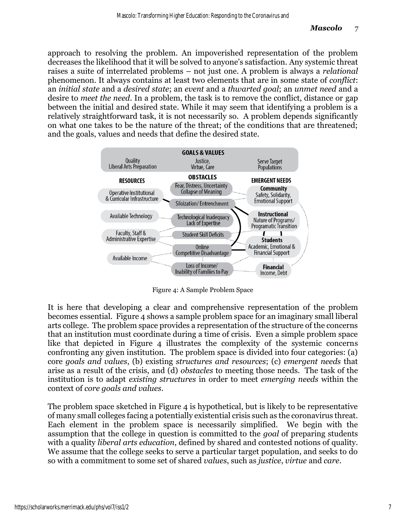approach to resolving the problem. An impoverished representation of the problem decreases the likelihood that it will be solved to anyone's satisfaction. Any systemic threat raises a suite of interrelated problems – not just one. A problem is always a *relational* phenomenon. It always contains at least two elements that are in some state of *conflict*: an *initial state* and a *desired state*; an *event* and a *thwarted goal*; an *unmet need* and a desire to *meet the need*. In a problem, the task is to remove the conflict, distance or gap between the initial and desired state. While it may seem that identifying a problem is a relatively straightforward task, it is not necessarily so. A problem depends significantly on what one takes to be the nature of the threat; of the conditions that are threatened; and the goals, values and needs that define the desired state.



Figure 4: A Sample Problem Space

It is here that developing a clear and comprehensive representation of the problem becomes essential. Figure 4 shows a sample problem space for an imaginary small liberal arts college. The problem space provides a representation of the structure of the concerns that an institution must coordinate during a time of crisis. Even a simple problem space like that depicted in Figure 4 illustrates the complexity of the systemic concerns confronting any given institution. The problem space is divided into four categories: (a) core *goals and values*, (b) existing *structures and resources*; (c) *emergent needs* that arise as a result of the crisis, and (d) *obstacles* to meeting those needs. The task of the institution is to adapt *existing structures* in order to meet *emerging needs* within the context of *core goals and values*.

The problem space sketched in Figure  $4$  is hypothetical, but is likely to be representative of many small colleges facing a potentially existential crisis such as the coronavirus threat. Each element in the problem space is necessarily simplified. We begin with the assumption that the college in question is committed to the *goal* of preparing students with a quality *liberal arts education*, defined by shared and contested notions of quality. We assume that the college seeks to serve a particular target population, and seeks to do so with a commitment to some set of shared *values*, such as *justice*, *virtue* and *care*.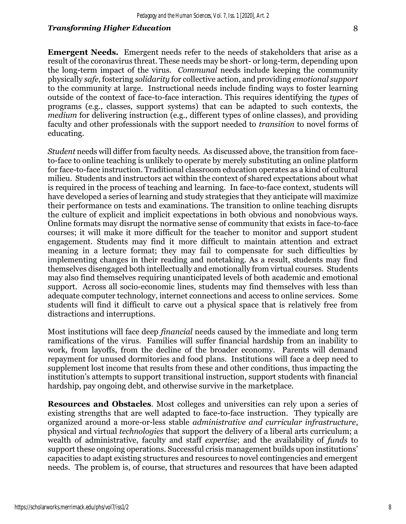**Emergent Needs.** Emergent needs refer to the needs of stakeholders that arise as a result of the coronavirus threat. These needs may be short- or long-term, depending upon the long-term impact of the virus. *Communal* needs include keeping the community physically *safe*, fostering *solidarity* for collective action, and providing *emotional support* to the community at large. Instructional needs include finding ways to foster learning outside of the context of face-to-face interaction. This requires identifying the *types* of programs (e.g., classes, support systems) that can be adapted to such contexts, the *medium* for delivering instruction (e.g., different types of online classes), and providing faculty and other professionals with the support needed to *transition* to novel forms of educating.

*Student* needs will differ from faculty needs. As discussed above, the transition from faceto-face to online teaching is unlikely to operate by merely substituting an online platform for face-to-face instruction. Traditional classroom education operates as a kind of cultural milieu. Students and instructors act within the context of shared expectations about what is required in the process of teaching and learning. In face-to-face context, students will have developed a series of learning and study strategies that they anticipate will maximize their performance on tests and examinations. The transition to online teaching disrupts the culture of explicit and implicit expectations in both obvious and nonobvious ways. Online formats may disrupt the normative sense of community that exists in face-to-face courses; it will make it more difficult for the teacher to monitor and support student engagement. Students may find it more difficult to maintain attention and extract meaning in a lecture format; they may fail to compensate for such difficulties by implementing changes in their reading and notetaking. As a result, students may find themselves disengaged both intellectually and emotionally from virtual courses. Students may also find themselves requiring unanticipated levels of both academic and emotional support. Across all socio-economic lines, students may find themselves with less than adequate computer technology, internet connections and access to online services. Some students will find it difficult to carve out a physical space that is relatively free from distractions and interruptions.

Most institutions will face deep *financial* needs caused by the immediate and long term ramifications of the virus. Families will suffer financial hardship from an inability to work, from layoffs, from the decline of the broader economy. Parents will demand repayment for unused dormitories and food plans. Institutions will face a deep need to supplement lost income that results from these and other conditions, thus impacting the institution's attempts to support transitional instruction, support students with financial hardship, pay ongoing debt, and otherwise survive in the marketplace.

**Resources and Obstacles**. Most colleges and universities can rely upon a series of existing strengths that are well adapted to face-to-face instruction. They typically are organized around a more-or-less stable *administrative and curricular infrastructure*, physical and virtual *technologies* that support the delivery of a liberal arts curriculum; a wealth of administrative, faculty and staff *expertise*; and the availability of *funds* to support these ongoing operations. Successful crisis management builds upon institutions' capacities to adapt existing structures and resources to novel contingencies and emergent needs. The problem is, of course, that structures and resources that have been adapted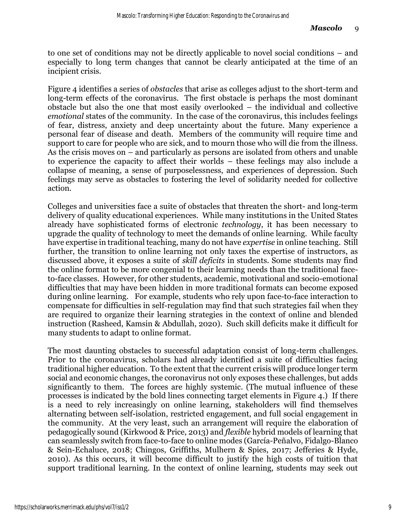to one set of conditions may not be directly applicable to novel social conditions – and especially to long term changes that cannot be clearly anticipated at the time of an incipient crisis.

Figure 4 identifies a series of *obstacles* that arise as colleges adjust to the short-term and long-term effects of the coronavirus. The first obstacle is perhaps the most dominant obstacle but also the one that most easily overlooked – the individual and collective *emotional* states of the community. In the case of the coronavirus, this includes feelings of fear, distress, anxiety and deep uncertainty about the future. Many experience a personal fear of disease and death. Members of the community will require time and support to care for people who are sick, and to mourn those who will die from the illness. As the crisis moves on – and particularly as persons are isolated from others and unable to experience the capacity to affect their worlds – these feelings may also include a collapse of meaning, a sense of purposelessness, and experiences of depression. Such feelings may serve as obstacles to fostering the level of solidarity needed for collective action.

Colleges and universities face a suite of obstacles that threaten the short- and long-term delivery of quality educational experiences. While many institutions in the United States already have sophisticated forms of electronic *technology*, it has been necessary to upgrade the quality of technology to meet the demands of online learning. While faculty have expertise in traditional teaching, many do not have *expertise* in online teaching. Still further, the transition to online learning not only taxes the expertise of instructors, as discussed above, it exposes a suite of *skill deficits* in students. Some students may find the online format to be more congenial to their learning needs than the traditional faceto-face classes. However, for other students, academic, motivational and socio-emotional difficulties that may have been hidden in more traditional formats can become exposed during online learning. For example, students who rely upon face-to-face interaction to compensate for difficulties in self-regulation may find that such strategies fail when they are required to organize their learning strategies in the context of online and blended instruction (Rasheed, Kamsin & Abdullah, 2020). Such skill deficits make it difficult for many students to adapt to online format.

The most daunting obstacles to successful adaptation consist of long-term challenges. Prior to the coronavirus, scholars had already identified a suite of difficulties facing traditional higher education. To the extent that the current crisis will produce longer term social and economic changes, the coronavirus not only exposes these challenges, but adds significantly to them. The forces are highly systemic. (The mutual influence of these processes is indicated by the bold lines connecting target elements in Figure 4.) If there is a need to rely increasingly on online learning, stakeholders will find themselves alternating between self-isolation, restricted engagement, and full social engagement in the community. At the very least, such an arrangement will require the elaboration of pedagogically sound (Kirkwood & Price, 2013) and *flexible* hybrid models of learning that can seamlessly switch from face-to-face to online modes (García-Peñalvo, Fidalgo-Blanco & Sein-Echaluce, 2018; Chingos, Griffiths, Mulhern & Spies, 2017; Jefferies & Hyde, 2010). As this occurs, it will become difficult to justify the high costs of tuition that support traditional learning. In the context of online learning, students may seek out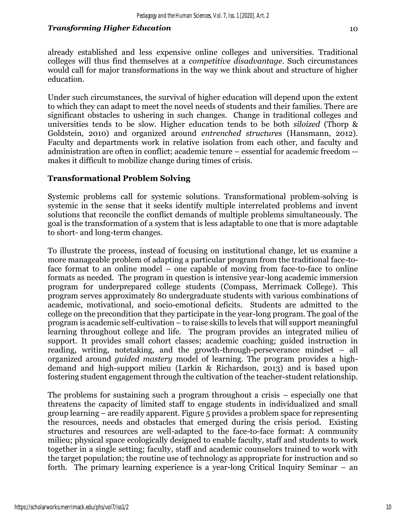already established and less expensive online colleges and universities. Traditional colleges will thus find themselves at a *competitive disadvantage*. Such circumstances would call for major transformations in the way we think about and structure of higher education.

Under such circumstances, the survival of higher education will depend upon the extent to which they can adapt to meet the novel needs of students and their families. There are significant obstacles to ushering in such changes. Change in traditional colleges and universities tends to be slow. Higher education tends to be both *siloized* (Thorp & Goldstein, 2010) and organized around *entrenched structures* (Hansmann, 2012). Faculty and departments work in relative isolation from each other, and faculty and administration are often in conflict; academic tenure – essential for academic freedom - makes it difficult to mobilize change during times of crisis.

## **Transformational Problem Solving**

Systemic problems call for systemic solutions. Transformational problem-solving is systemic in the sense that it seeks identify multiple interrelated problems and invent solutions that reconcile the conflict demands of multiple problems simultaneously. The goal is the transformation of a system that is less adaptable to one that is more adaptable to short- and long-term changes.

To illustrate the process, instead of focusing on institutional change, let us examine a more manageable problem of adapting a particular program from the traditional face-toface format to an online model – one capable of moving from face-to-face to online formats as needed. The program in question is intensive year-long academic immersion program for underprepared college students (Compass, Merrimack College). This program serves approximately 80 undergraduate students with various combinations of academic, motivational, and socio-emotional deficits. Students are admitted to the college on the precondition that they participate in the year-long program. The goal of the program is academic self-cultivation – to raise skills to levels that will support meaningful learning throughout college and life. The program provides an integrated milieu of support. It provides small cohort classes; academic coaching; guided instruction in reading, writing, notetaking, and the growth-through-perseverance mindset – all organized around *guided mastery* model of learning. The program provides a highdemand and high-support milieu (Larkin & Richardson, 2013) and is based upon fostering student engagement through the cultivation of the teacher-student relationship.

The problems for sustaining such a program throughout a crisis – especially one that threatens the capacity of limited staff to engage students in individualized and small group learning – are readily apparent. Figure 5 provides a problem space for representing the resources, needs and obstacles that emerged during the crisis period. Existing structures and resources are well-adapted to the face-to-face format: A community milieu; physical space ecologically designed to enable faculty, staff and students to work together in a single setting; faculty, staff and academic counselors trained to work with the target population; the routine use of technology as appropriate for instruction and so forth. The primary learning experience is a year-long Critical Inquiry Seminar – an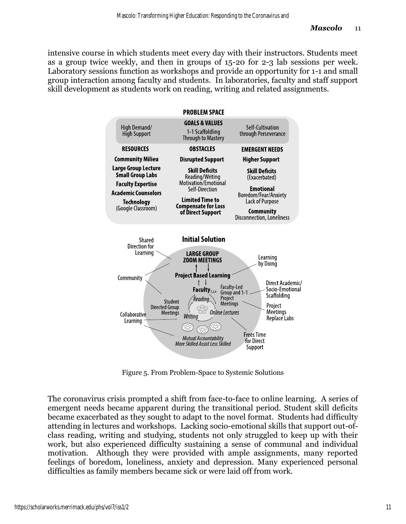intensive course in which students meet every day with their instructors. Students meet as a group twice weekly, and then in groups of 15-20 for 2-3 lab sessions per week. Laboratory sessions function as workshops and provide an opportunity for 1-1 and small group interaction among faculty and students. In laboratories, faculty and staff support skill development as students work on reading, writing and related assignments.



Figure 5. From Problem-Space to Systemic Solutions

The coronavirus crisis prompted a shift from face-to-face to online learning. A series of emergent needs became apparent during the transitional period. Student skill deficits became exacerbated as they sought to adapt to the novel format. Students had difficulty attending in lectures and workshops. Lacking socio-emotional skills that support out-ofclass reading, writing and studying, students not only struggled to keep up with their work, but also experienced difficulty sustaining a sense of communal and individual motivation. Although they were provided with ample assignments, many reported feelings of boredom, loneliness, anxiety and depression. Many experienced personal difficulties as family members became sick or were laid off from work.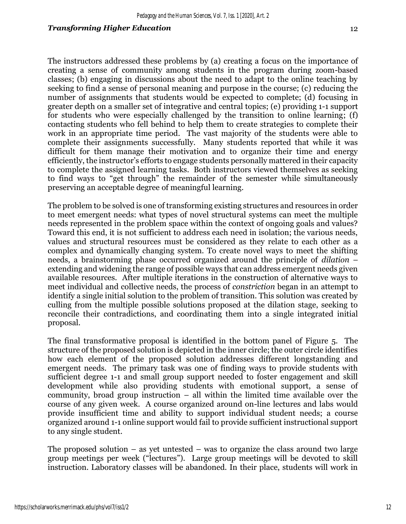The instructors addressed these problems by (a) creating a focus on the importance of creating a sense of community among students in the program during zoom-based classes; (b) engaging in discussions about the need to adapt to the online teaching by seeking to find a sense of personal meaning and purpose in the course; (c) reducing the number of assignments that students would be expected to complete; (d) focusing in greater depth on a smaller set of integrative and central topics; (e) providing 1-1 support for students who were especially challenged by the transition to online learning; (f) contacting students who fell behind to help them to create strategies to complete their work in an appropriate time period. The vast majority of the students were able to complete their assignments successfully. Many students reported that while it was difficult for them manage their motivation and to organize their time and energy efficiently, the instructor's efforts to engage students personally mattered in their capacity to complete the assigned learning tasks. Both instructors viewed themselves as seeking to find ways to "get through" the remainder of the semester while simultaneously preserving an acceptable degree of meaningful learning.

The problem to be solved is one of transforming existing structures and resources in order to meet emergent needs: what types of novel structural systems can meet the multiple needs represented in the problem space within the context of ongoing goals and values? Toward this end, it is not sufficient to address each need in isolation; the various needs, values and structural resources must be considered as they relate to each other as a complex and dynamically changing system. To create novel ways to meet the shifting needs, a brainstorming phase occurred organized around the principle of *dilation* – extending and widening the range of possible ways that can address emergent needs given available resources. After multiple iterations in the construction of alternative ways to meet individual and collective needs, the process of *constriction* began in an attempt to identify a single initial solution to the problem of transition. This solution was created by culling from the multiple possible solutions proposed at the dilation stage, seeking to reconcile their contradictions, and coordinating them into a single integrated initial proposal.

The final transformative proposal is identified in the bottom panel of Figure 5. The structure of the proposed solution is depicted in the inner circle; the outer circle identifies how each element of the proposed solution addresses different longstanding and emergent needs. The primary task was one of finding ways to provide students with sufficient degree 1-1 and small group support needed to foster engagement and skill development while also providing students with emotional support, a sense of community, broad group instruction  $-$  all within the limited time available over the course of any given week. A course organized around on-line lectures and labs would provide insufficient time and ability to support individual student needs; a course organized around 1-1 online support would fail to provide sufficient instructional support to any single student.

The proposed solution – as yet untested – was to organize the class around two large group meetings per week ("lectures"). Large group meetings will be devoted to skill instruction. Laboratory classes will be abandoned. In their place, students will work in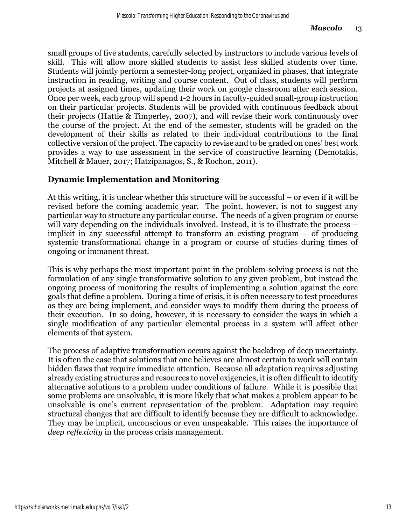small groups of five students, carefully selected by instructors to include various levels of skill. This will allow more skilled students to assist less skilled students over time. Students will jointly perform a semester-long project, organized in phases, that integrate instruction in reading, writing and course content. Out of class, students will perform projects at assigned times, updating their work on google classroom after each session. Once per week, each group will spend 1-2 hours in faculty-guided small-group instruction on their particular projects. Students will be provided with continuous feedback about their projects (Hattie & Timperley, 2007), and will revise their work continuously over the course of the project. At the end of the semester, students will be graded on the development of their skills as related to their individual contributions to the final collective version of the project. The capacity to revise and to be graded on ones' best work provides a way to use assessment in the service of constructive learning (Demotakis, Mitchell & Mauer, 2017; Hatzipanagos, S., & Rochon, 2011).

## **Dynamic Implementation and Monitoring**

At this writing, it is unclear whether this structure will be successful – or even if it will be revised before the coming academic year. The point, however, is not to suggest any particular way to structure any particular course. The needs of a given program or course will vary depending on the individuals involved. Instead, it is to illustrate the process – implicit in any successful attempt to transform an existing program – of producing systemic transformational change in a program or course of studies during times of ongoing or immanent threat.

This is why perhaps the most important point in the problem-solving process is not the formulation of any single transformative solution to any given problem, but instead the ongoing process of monitoring the results of implementing a solution against the core goals that define a problem. During a time of crisis, it is often necessary to test procedures as they are being implement, and consider ways to modify them during the process of their execution. In so doing, however, it is necessary to consider the ways in which a single modification of any particular elemental process in a system will affect other elements of that system.

The process of adaptive transformation occurs against the backdrop of deep uncertainty. It is often the case that solutions that one believes are almost certain to work will contain hidden flaws that require immediate attention. Because all adaptation requires adjusting already existing structures and resources to novel exigencies, it is often difficult to identify alternative solutions to a problem under conditions of failure. While it is possible that some problems are unsolvable, it is more likely that what makes a problem appear to be unsolvable is one's current representation of the problem. Adaptation may require structural changes that are difficult to identify because they are difficult to acknowledge. They may be implicit, unconscious or even unspeakable. This raises the importance of *deep reflexivity* in the process crisis management.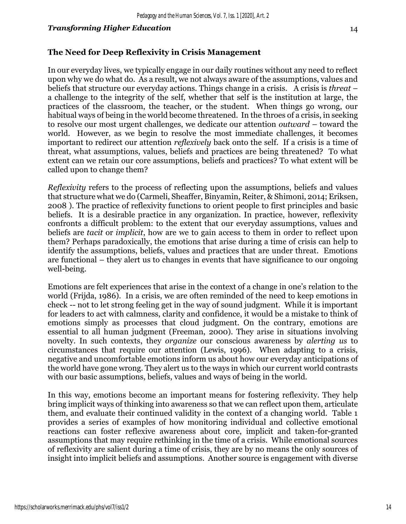## **The Need for Deep Reflexivity in Crisis Management**

In our everyday lives, we typically engage in our daily routines without any need to reflect upon why we do what do. As a result, we not always aware of the assumptions, values and beliefs that structure our everyday actions. Things change in a crisis. A crisis is *threat* – a challenge to the integrity of the self, whether that self is the institution at large, the practices of the classroom, the teacher, or the student. When things go wrong, our habitual ways of being in the world become threatened. In the throes of a crisis, in seeking to resolve our most urgent challenges, we dedicate our attention *outward* – toward the world. However, as we begin to resolve the most immediate challenges, it becomes important to redirect our attention *reflexively* back onto the self. If a crisis is a time of threat, what assumptions, values, beliefs and practices are being threatened? To what extent can we retain our core assumptions, beliefs and practices? To what extent will be called upon to change them?

*Reflexivity* refers to the process of reflecting upon the assumptions, beliefs and values that structure what we do (Carmeli, Sheaffer, Binyamin, Reiter, & Shimoni, 2014; Eriksen, 2008 ). The practice of reflexivity functions to orient people to first principles and basic beliefs. It is a desirable practice in any organization. In practice, however, reflexivity confronts a difficult problem: to the extent that our everyday assumptions, values and beliefs are *tacit* or *implicit*, how are we to gain access to them in order to reflect upon them? Perhaps paradoxically, the emotions that arise during a time of crisis can help to identify the assumptions, beliefs, values and practices that are under threat. Emotions are functional – they alert us to changes in events that have significance to our ongoing well-being.

Emotions are felt experiences that arise in the context of a change in one's relation to the world (Frijda, 1986). In a crisis, we are often reminded of the need to keep emotions in check -- not to let strong feeling get in the way of sound judgment. While it is important for leaders to act with calmness, clarity and confidence, it would be a mistake to think of emotions simply as processes that cloud judgment. On the contrary, emotions are essential to all human judgment (Freeman, 2000). They arise in situations involving novelty. In such contexts, they *organize* our conscious awareness by *alerting us* to circumstances that require our attention (Lewis, 1996). When adapting to a crisis, negative and uncomfortable emotions inform us about how our everyday anticipations of the world have gone wrong. They alert us to the ways in which our current world contrasts with our basic assumptions, beliefs, values and ways of being in the world.

In this way, emotions become an important means for fostering reflexivity. They help bring implicit ways of thinking into awareness so that we can reflect upon them, articulate them, and evaluate their continued validity in the context of a changing world. Table 1 provides a series of examples of how monitoring individual and collective emotional reactions can foster reflexive awareness about core, implicit and taken-for-granted assumptions that may require rethinking in the time of a crisis. While emotional sources of reflexivity are salient during a time of crisis, they are by no means the only sources of insight into implicit beliefs and assumptions. Another source is engagement with diverse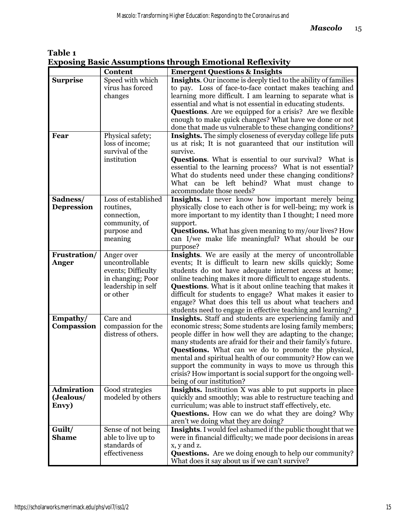**Table 1 Exposing Basic Assumptions through Emotional Reflexivity** 

|                   | Content                              | <b>Emergent Questions &amp; Insights</b>                                                                                  |
|-------------------|--------------------------------------|---------------------------------------------------------------------------------------------------------------------------|
| <b>Surprise</b>   | Speed with which<br>virus has forced | Insights. Our income is deeply tied to the ability of families<br>to pay. Loss of face-to-face contact makes teaching and |
|                   | changes                              | learning more difficult. I am learning to separate what is                                                                |
|                   |                                      | essential and what is not essential in educating students.                                                                |
|                   |                                      | <b>Questions.</b> Are we equipped for a crisis? Are we flexible                                                           |
|                   |                                      | enough to make quick changes? What have we done or not                                                                    |
|                   |                                      | done that made us vulnerable to these changing conditions?                                                                |
| Fear              | Physical safety;                     | <b>Insights.</b> The simply closeness of everyday college life puts                                                       |
|                   | loss of income;<br>survival of the   | us at risk; It is not guaranteed that our institution will<br>survive.                                                    |
|                   | institution                          | <b>Questions.</b> What is essential to our survival? What is                                                              |
|                   |                                      | essential to the learning process? What is not essential?                                                                 |
|                   |                                      | What do students need under these changing conditions?                                                                    |
|                   |                                      | What can be left behind? What must change to                                                                              |
|                   |                                      | accommodate those needs?                                                                                                  |
| Sadness/          | Loss of established                  | Insights. I never know how important merely being                                                                         |
| <b>Depression</b> | routines,                            | physically close to each other is for well-being; my work is                                                              |
|                   | connection,                          | more important to my identity than I thought; I need more                                                                 |
|                   | community, of<br>purpose and         | support.<br><b>Questions.</b> What has given meaning to my/our lives? How                                                 |
|                   | meaning                              | can I/we make life meaningful? What should be our                                                                         |
|                   |                                      | purpose?                                                                                                                  |
| Frustration/      | Anger over                           | Insights. We are easily at the mercy of uncontrollable                                                                    |
| Anger             | uncontrollable                       | events; It is difficult to learn new skills quickly; Some                                                                 |
|                   | events; Difficulty                   | students do not have adequate internet access at home;                                                                    |
|                   | in changing; Poor                    | online teaching makes it more difficult to engage students.                                                               |
|                   | leadership in self                   | <b>Questions.</b> What is it about online teaching that makes it                                                          |
|                   | or other                             | difficult for students to engage? What makes it easier to<br>engage? What does this tell us about what teachers and       |
|                   |                                      | students need to engage in effective teaching and learning?                                                               |
| Empathy/          | Care and                             | Insights. Staff and students are experiencing family and                                                                  |
| Compassion        | compassion for the                   | economic stress; Some students are losing family members;                                                                 |
|                   | distress of others.                  | people differ in how well they are adapting to the change;                                                                |
|                   |                                      | many students are afraid for their and their family's future.                                                             |
|                   |                                      | <b>Questions.</b> What can we do to promote the physical,                                                                 |
|                   |                                      | mental and spiritual health of our community? How can we                                                                  |
|                   |                                      | support the community in ways to move us through this<br>crisis? How important is social support for the ongoing well-    |
|                   |                                      | being of our institution?                                                                                                 |
| <b>Admiration</b> | Good strategies                      | <b>Insights.</b> Institution X was able to put supports in place                                                          |
| (Jealous/         | modeled by others                    | quickly and smoothly; was able to restructure teaching and                                                                |
| Envy)             |                                      | curriculum; was able to instruct staff effectively, etc.                                                                  |
|                   |                                      | <b>Questions.</b> How can we do what they are doing? Why                                                                  |
|                   |                                      | aren't we doing what they are doing?                                                                                      |
| Guilt/            | Sense of not being                   | Insights. I would feel ashamed if the public thought that we                                                              |
| <b>Shame</b>      | able to live up to<br>standards of   | were in financial difficulty; we made poor decisions in areas<br>x, y and z.                                              |
|                   | effectiveness                        | <b>Questions.</b> Are we doing enough to help our community?                                                              |
|                   |                                      | What does it say about us if we can't survive?                                                                            |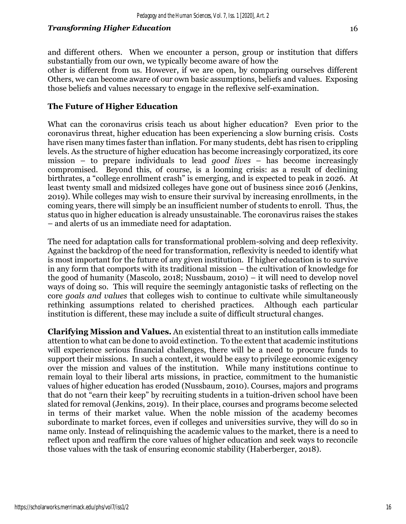and different others. When we encounter a person, group or institution that differs substantially from our own, we typically become aware of how the

other is different from us. However, if we are open, by comparing ourselves different Others, we can become aware of our own basic assumptions, beliefs and values. Exposing those beliefs and values necessary to engage in the reflexive self-examination.

## **The Future of Higher Education**

What can the coronavirus crisis teach us about higher education? Even prior to the coronavirus threat, higher education has been experiencing a slow burning crisis. Costs have risen many times faster than inflation. For many students, debt has risen to crippling levels. As the structure of higher education has become increasingly corporatized, its core mission – to prepare individuals to lead *good lives* – has become increasingly compromised. Beyond this, of course, is a looming crisis: as a result of declining birthrates, a "college enrollment crash" is emerging, and is expected to peak in 2026. At least twenty small and midsized colleges have gone out of business since 2016 (Jenkins, 2019). While colleges may wish to ensure their survival by increasing enrollments, in the coming years, there will simply be an insufficient number of students to enroll. Thus, the status quo in higher education is already unsustainable. The coronavirus raises the stakes – and alerts of us an immediate need for adaptation.

The need for adaptation calls for transformational problem-solving and deep reflexivity. Against the backdrop of the need for transformation, reflexivity is needed to identify what is most important for the future of any given institution. If higher education is to survive in any form that comports with its traditional mission – the cultivation of knowledge for the good of humanity (Mascolo, 2018; Nussbaum, 2010) – it will need to develop novel ways of doing so. This will require the seemingly antagonistic tasks of reflecting on the core *goals and values* that colleges wish to continue to cultivate while simultaneously rethinking assumptions related to cherished practices. Although each particular institution is different, these may include a suite of difficult structural changes.

**Clarifying Mission and Values.** An existential threat to an institution calls immediate attention to what can be done to avoid extinction. To the extent that academic institutions will experience serious financial challenges, there will be a need to procure funds to support their missions. In such a context, it would be easy to privilege economic exigency over the mission and values of the institution. While many institutions continue to remain loyal to their liberal arts missions, in practice, commitment to the humanistic values of higher education has eroded (Nussbaum, 2010). Courses, majors and programs that do not "earn their keep" by recruiting students in a tuition-driven school have been slated for removal (Jenkins, 2019). In their place, courses and programs become selected in terms of their market value. When the noble mission of the academy becomes subordinate to market forces, even if colleges and universities survive, they will do so in name only. Instead of relinquishing the academic values to the market, there is a need to reflect upon and reaffirm the core values of higher education and seek ways to reconcile those values with the task of ensuring economic stability (Haberberger, 2018).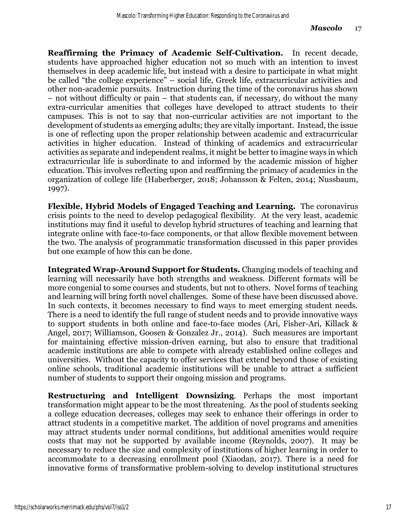**Reaffirming the Primacy of Academic Self-Cultivation.** In recent decade, students have approached higher education not so much with an intention to invest themselves in deep academic life, but instead with a desire to participate in what might be called "the college experience" – social life, Greek life, extracurricular activities and other non-academic pursuits. Instruction during the time of the coronavirus has shown – not without difficulty or pain – that students can, if necessary, do without the many extra-curricular amenities that colleges have developed to attract students to their campuses. This is not to say that non-curricular activities are not important to the development of students as emerging adults; they are vitally important. Instead, the issue is one of reflecting upon the proper relationship between academic and extracurricular activities in higher education. Instead of thinking of academics and extracurricular activities as separate and independent realms, it might be better to imagine ways in which extracurricular life is subordinate to and informed by the academic mission of higher education. This involves reflecting upon and reaffirming the primacy of academics in the organization of college life (Haberberger, 2018; Johansson & Felten, 2014; Nussbaum, 1997).

**Flexible, Hybrid Models of Engaged Teaching and Learning.** The coronavirus crisis points to the need to develop pedagogical flexibility. At the very least, academic institutions may find it useful to develop hybrid structures of teaching and learning that integrate online with face-to-face components, or that allow flexible movement between the two. The analysis of programmatic transformation discussed in this paper provides but one example of how this can be done.

**Integrated Wrap-Around Support for Students.** Changing models of teaching and learning will necessarily have both strengths and weakness. Different formats will be more congenial to some courses and students, but not to others. Novel forms of teaching and learning will bring forth novel challenges. Some of these have been discussed above. In such contexts, it becomes necessary to find ways to meet emerging student needs. There is a need to identify the full range of student needs and to provide innovative ways to support students in both online and face-to-face modes (Ari, Fisher-Ari, Killack & Angel, 2017; Williamson, Goosen & Gonzalez Jr., 2014). Such measures are important for maintaining effective mission-driven earning, but also to ensure that traditional academic institutions are able to compete with already established online colleges and universities. Without the capacity to offer services that extend beyond those of existing online schools, traditional academic institutions will be unable to attract a sufficient number of students to support their ongoing mission and programs.

**Restructuring and Intelligent Downsizing**. Perhaps the most important transformation might appear to be the most threatening. As the pool of students seeking a college education decreases, colleges may seek to enhance their offerings in order to attract students in a competitive market. The addition of novel programs and amenities may attract students under normal conditions, but additional amenities would require costs that may not be supported by available income (Reynolds, 2007). It may be necessary to reduce the size and complexity of institutions of higher learning in order to accommodate to a decreasing enrollment pool (Xiaodan, 2017). There is a need for innovative forms of transformative problem-solving to develop institutional structures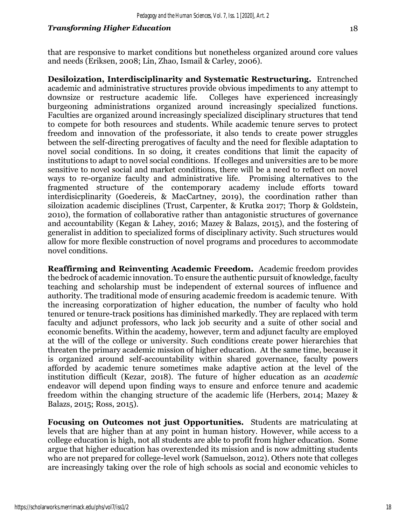that are responsive to market conditions but nonetheless organized around core values and needs (Eriksen, 2008; Lin, Zhao, Ismail & Carley, 2006).

**Desiloization, Interdisciplinarity and Systematic Restructuring.** Entrenched academic and administrative structures provide obvious impediments to any attempt to downsize or restructure academic life. Colleges have experienced increasingly burgeoning administrations organized around increasingly specialized functions. Faculties are organized around increasingly specialized disciplinary structures that tend to compete for both resources and students. While academic tenure serves to protect freedom and innovation of the professoriate, it also tends to create power struggles between the self-directing prerogatives of faculty and the need for flexible adaptation to novel social conditions. In so doing, it creates conditions that limit the capacity of institutions to adapt to novel social conditions. If colleges and universities are to be more sensitive to novel social and market conditions, there will be a need to reflect on novel ways to re-organize faculty and administrative life. Promising alternatives to the fragmented structure of the contemporary academy include efforts toward interdisicplinarity (Goedereis, & MacCartney, 2019), the coordination rather than siloization academic disciplines (Trust, Carpenter, & Krutka 2017; Thorp & Goldstein, 2010), the formation of collaborative rather than antagonistic structures of governance and accountability (Kegan & Lahey, 2016; Mazey & Balazs, 2015), and the fostering of generalist in addition to specialized forms of disciplinary activity. Such structures would allow for more flexible construction of novel programs and procedures to accommodate novel conditions.

**Reaffirming and Reinventing Academic Freedom.** Academic freedom provides the bedrock of academic innovation. To ensure the authentic pursuit of knowledge, faculty teaching and scholarship must be independent of external sources of influence and authority. The traditional mode of ensuring academic freedom is academic tenure. With the increasing corporatization of higher education, the number of faculty who hold tenured or tenure-track positions has diminished markedly. They are replaced with term faculty and adjunct professors, who lack job security and a suite of other social and economic benefits. Within the academy, however, term and adjunct faculty are employed at the will of the college or university. Such conditions create power hierarchies that threaten the primary academic mission of higher education. At the same time, because it is organized around self-accountability within shared governance, faculty powers afforded by academic tenure sometimes make adaptive action at the level of the institution difficult (Kezar, 2018). The future of higher education as an *academic* endeavor will depend upon finding ways to ensure and enforce tenure and academic freedom within the changing structure of the academic life (Herbers, 2014; Mazey & Balazs, 2015; Ross, 2015).

**Focusing on Outcomes not just Opportunities.** Students are matriculating at levels that are higher than at any point in human history. However, while access to a college education is high, not all students are able to profit from higher education. Some argue that higher education has overextended its mission and is now admitting students who are not prepared for college-level work (Samuelson, 2012). Others note that colleges are increasingly taking over the role of high schools as social and economic vehicles to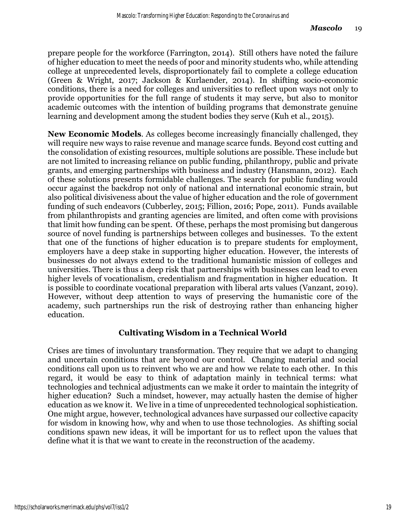prepare people for the workforce (Farrington, 2014). Still others have noted the failure of higher education to meet the needs of poor and minority students who, while attending college at unprecedented levels, disproportionately fail to complete a college education (Green & Wright, 2017; Jackson & Kurlaender, 2014). In shifting socio-economic conditions, there is a need for colleges and universities to reflect upon ways not only to provide opportunities for the full range of students it may serve, but also to monitor academic outcomes with the intention of building programs that demonstrate genuine learning and development among the student bodies they serve (Kuh et al., 2015).

**New Economic Models**. As colleges become increasingly financially challenged, they will require new ways to raise revenue and manage scarce funds. Beyond cost cutting and the consolidation of existing resources, multiple solutions are possible. These include but are not limited to increasing reliance on public funding, philanthropy, public and private grants, and emerging partnerships with business and industry (Hansmann, 2012). Each of these solutions presents formidable challenges. The search for public funding would occur against the backdrop not only of national and international economic strain, but also political divisiveness about the value of higher education and the role of government funding of such endeavors (Cubberley, 2015; Fillion, 2016; Pope, 2011). Funds available from philanthropists and granting agencies are limited, and often come with provisions that limit how funding can be spent. Of these, perhaps the most promising but dangerous source of novel funding is partnerships between colleges and businesses. To the extent that one of the functions of higher education is to prepare students for employment, employers have a deep stake in supporting higher education. However, the interests of businesses do not always extend to the traditional humanistic mission of colleges and universities. There is thus a deep risk that partnerships with businesses can lead to even higher levels of vocationalism, credentialism and fragmentation in higher education. It is possible to coordinate vocational preparation with liberal arts values (Vanzant, 2019). However, without deep attention to ways of preserving the humanistic core of the academy, such partnerships run the risk of destroying rather than enhancing higher education.

## **Cultivating Wisdom in a Technical World**

Crises are times of involuntary transformation. They require that we adapt to changing and uncertain conditions that are beyond our control. Changing material and social conditions call upon us to reinvent who we are and how we relate to each other. In this regard, it would be easy to think of adaptation mainly in technical terms: what technologies and technical adjustments can we make it order to maintain the integrity of higher education? Such a mindset, however, may actually hasten the demise of higher education as we know it. We live in a time of unprecedented technological sophistication. One might argue, however, technological advances have surpassed our collective capacity for wisdom in knowing how, why and when to use those technologies. As shifting social conditions spawn new ideas, it will be important for us to reflect upon the values that define what it is that we want to create in the reconstruction of the academy.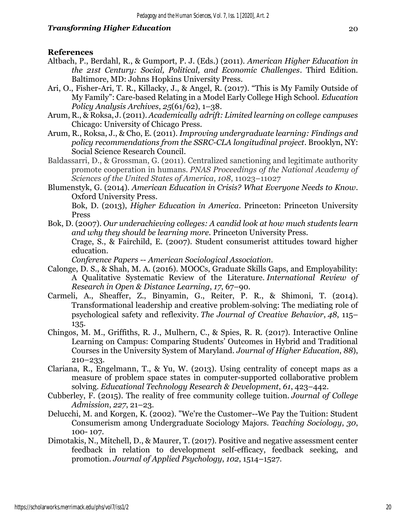## **References**

- Altbach, P., Berdahl, R., & Gumport, P. J. (Eds.) (2011). *American Higher Education in the 21st Century: Social, Political, and Economic Challenges*. Third Edition. Baltimore, MD: Johns Hopkins University Press.
- Ari, O., Fisher-Ari, T. R., Killacky, J., & Angel, R. (2017). "This is My Family Outside of My Family": Care-based Relating in a Model Early College High School. *Education Policy Analysis Archives*, *25*(61/62), 1–38.
- Arum, R., & Roksa, J. (2011). *Academically adrift: Limited learning on college campuses* Chicago: University of Chicago Press.
- Arum, R., Roksa, J., & Cho, E. (2011). *Improving undergraduate learning: Findings and policy recommendations from the SSRC-CLA longitudinal project*. Brooklyn, NY: Social Science Research Council.
- Baldassarri, D., & Grossman, G. (2011). Centralized sanctioning and legitimate authority promote cooperation in humans. *PNAS Proceedings of the National Academy of Sciences of the United States of America*, *108*, 11023–11027
- Blumenstyk, G. (2014). *American Education in Crisis? What Everyone Needs to Know*. Oxford University Press.

Bok, D. (2013), *Higher Education in America*. Princeton: Princeton University Press

Bok, D. (2007). *Our underachieving colleges: A candid look at how much students learn and why they should be learning more.* Princeton University Press.

Crage, S., & Fairchild, E. (2007). Student consumerist attitudes toward higher education.

*Conference Papers -- American Sociological Association*.

- Calonge, D. S., & Shah, M. A. (2016). MOOCs, Graduate Skills Gaps, and Employability: A Qualitative Systematic Review of the Literature. *International Review of Research in Open & Distance Learning*, *17*, 67–90.
- Carmeli, A., Sheaffer, Z., Binyamin, G., Reiter, P. R., & Shimoni, T. (2014). Transformational leadership and creative problem‐solving: The mediating role of psychological safety and reflexivity. *The Journal of Creative Behavior*, *48*, 115– 135.
- Chingos, M. M., Griffiths, R. J., Mulhern, C., & Spies, R. R. (2017). Interactive Online Learning on Campus: Comparing Students' Outcomes in Hybrid and Traditional Courses in the University System of Maryland. *Journal of Higher Education*, *88*), 210–233.
- Clariana, R., Engelmann, T., & Yu, W. (2013). Using centrality of concept maps as a measure of problem space states in computer-supported collaborative problem solving. *Educational Technology Research & Development*, *61*, 423–442.
- Cubberley, F. (2015). The reality of free community college tuition. *Journal of College Admission*, *227*, 21–23.
- Delucchi, M. and Korgen, K. (2002). "We're the Customer--We Pay the Tuition: Student Consumerism among Undergraduate Sociology Majors. *Teaching Sociology*, *30*, 100- 107.
- Dimotakis, N., Mitchell, D., & Maurer, T. (2017). Positive and negative assessment center feedback in relation to development self-efficacy, feedback seeking, and promotion. *Journal of Applied Psychology*, *102*, 1514–1527.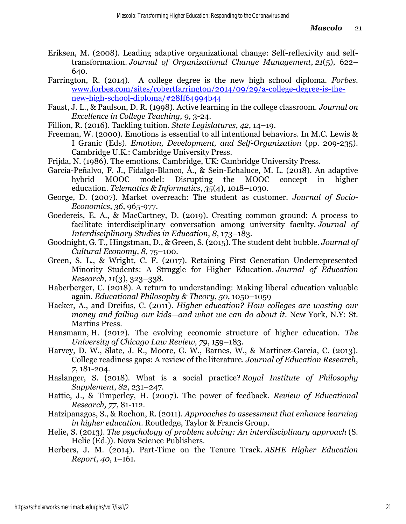- Eriksen, M. (2008). Leading adaptive organizational change: Self-reflexivity and selftransformation. *Journal of Organizational Change Management*, *21*(5), 622– 640.
- Farrington, R. (2014). A college degree is the new high school diploma. *Forbes*. [www.forbes.com/sites/robertfarrington/2014/09/29/a-college-degree-is-the](https://www.forbes.com/sites/robertfarrington/2014/09/29/a-college-degree-is-the-new-high-school-diploma/#28ff64994b44)[new-high-school-diploma/#28ff64994b44](https://www.forbes.com/sites/robertfarrington/2014/09/29/a-college-degree-is-the-new-high-school-diploma/#28ff64994b44)
- Faust, J. L., & Paulson, D. R. (1998). Active learning in the college classroom. *Journal on Excellence in College Teaching, 9*, 3-24.
- Fillion, R. (2016). Tackling tuition. *State Legislatures*, *42*, 14–19.
- Freeman, W. (2000). Emotions is essential to all intentional behaviors. In M.C. Lewis & I Granic (Eds). *Emotion, Development, and Self-Organization* (pp. 209-235). Cambridge U.K.: Cambridge University Press.
- Frijda, N. (1986). The emotions. Cambridge, UK: Cambridge University Press.
- García-Peñalvo, F. J., Fidalgo-Blanco, Á., & Sein-Echaluce, M. L. (2018). An adaptive hybrid MOOC model: Disrupting the MOOC concept in higher education. *Telematics & Informatics*, *35*(4), 1018–1030.
- George, D. (2007). Market overreach: The student as customer. *Journal of Socio-Economics*, *36*, 965-977.
- Goedereis, E. A., & MacCartney, D. (2019). Creating common ground: A process to facilitate interdisciplinary conversation among university faculty. *Journal of Interdisciplinary Studies in Education*, *8*, 173–183.
- Goodnight, G. T., Hingstman, D., & Green, S. (2015). The student debt bubble. *Journal of Cultural Economy*, *8*, 75–100.
- Green, S. L., & Wright, C. F. (2017). Retaining First Generation Underrepresented Minority Students: A Struggle for Higher Education. *Journal of Education Research*, *11*(3), 323–338.
- Haberberger, C. (2018). A return to understanding: Making liberal education valuable again. *Educational Philosophy & Theory*, *50*, 1050–1059
- Hacker, A., and Dreifus, C. (2011). *Higher education? How colleges are wasting our money and failing our kids—and what we can do about it*. New York, N.Y: St. Martins Press.
- Hansmann, H. (2012). The evolving economic structure of higher education. *The University of Chicago Law Review, 79*, 159–183.
- Harvey, D. W., Slate, J. R., Moore, G. W., Barnes, W., & Martinez-Garcia, C. (2013). College readiness gaps: A review of the literature. *Journal of Education Research*, *7*, 181-204.
- Haslanger, S. (2018). What is a social practice? *Royal Institute of Philosophy Supplement*, *82*, 231–247.
- Hattie, J., & Timperley, H. (2007). The power of feedback. *Review of Educational Research, 77*, 81-112.
- Hatzipanagos, S., & Rochon, R. (2011). *Approaches to assessment that enhance learning in higher education*. Routledge, Taylor & Francis Group.
- Helie, S. (2013). *The psychology of problem solving: An interdisciplinary approach* (S. Helie (Ed.)). Nova Science Publishers.
- Herbers, J. M. (2014). Part-Time on the Tenure Track. *ASHE Higher Education Report*, *40*, 1–161.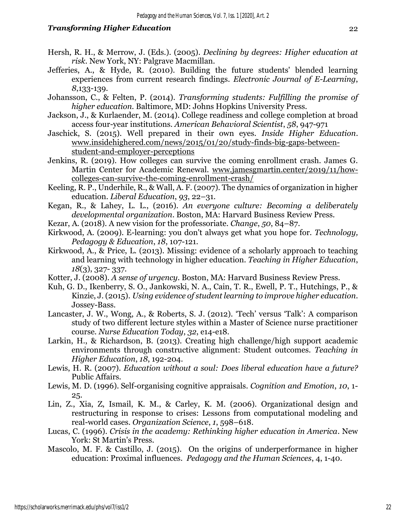- Hersh, R. H., & Merrow, J. (Eds.). (2005). *Declining by degrees: Higher education at risk*. New York, NY: Palgrave Macmillan.
- Jefferies, A., & Hyde, R. (2010). Building the future students' blended learning experiences from current research findings. *Electronic Journal of E-Learning*, *8*,133-139.
- Johansson, C., & Felten, P. (2014). *Transforming students: Fulfilling the promise of higher education.* Baltimore, MD: Johns Hopkins University Press.
- Jackson, J., & Kurlaender, M. (2014). College readiness and college completion at broad access four-year institutions. *American Behavioral Scientist*, *58*, 947-971
- Jaschick, S. (2015). Well prepared in their own eyes. *Inside Higher Education*. [www.insidehighered.com/news/2015/01/20/study-finds-big-gaps-between](http://www.insidehighered.com/news/2015/01/20/study-finds-big-gaps-between-student-and-employer-perceptions)[student-and-employer-perceptions](http://www.insidehighered.com/news/2015/01/20/study-finds-big-gaps-between-student-and-employer-perceptions)
- Jenkins, R. (2019). How colleges can survive the coming enrollment crash. James G. Martin Center for Academic Renewal. [www.jamesgmartin.center/2019/11/how](http://www.jamesgmartin.center/2019/11/how-colleges-can-survive-the-coming-enrollment-crash/)[colleges-can-survive-the-coming-enrollment-crash/](http://www.jamesgmartin.center/2019/11/how-colleges-can-survive-the-coming-enrollment-crash/)
- Keeling, R. P., Underhile, R., & Wall, A. F. (2007). The dynamics of organization in higher education. *Liberal Education*, *93*, 22–31.
- Kegan, R., & Lahey, L. L., (2016). *An everyone culture: Becoming a deliberately developmental organization*. Boston, MA: Harvard Business Review Press.
- Kezar, A. (2018). A new vision for the professoriate. *Change*, *50*, 84–87.
- Kirkwood, A. (2009). E-learning: you don't always get what you hope for. *Technology, Pedagogy & Education*, *18*, 107-121.
- Kirkwood, A., & Price, L. (2013). Missing: evidence of a scholarly approach to teaching and learning with technology in higher education. *Teaching in Higher Education*, *18*(3), 327- 337.
- Kotter, J. (2008). *A sense of urgency*. Boston, MA: Harvard Business Review Press.
- Kuh, G. D., Ikenberry, S. O., Jankowski, N. A., Cain, T. R., Ewell, P. T., Hutchings, P., & Kinzie, J. (2015). *Using evidence of student learning to improve higher education*. Jossey-Bass.
- Lancaster, J. W., Wong, A., & Roberts, S. J. (2012). 'Tech' versus 'Talk': A comparison study of two different lecture styles within a Master of Science nurse practitioner course. *Nurse Education Today*, *32*, e14-e18.
- Larkin, H., & Richardson, B. (2013). Creating high challenge/high support academic environments through constructive alignment: Student outcomes. *Teaching in Higher Education*, *18*, 192-204.
- Lewis, H. R. (2007). *Education without a soul: Does liberal education have a future?*  Public Affairs*.*
- Lewis, M. D. (1996). Self-organising cognitive appraisals. *Cognition and Emotion*, *10*, 1- 25.
- Lin, Z., Xia, Z, Ismail, K. M., & Carley, K. M. (2006). Organizational design and restructuring in response to crises: Lessons from computational modeling and real-world cases. *Organization Science*, *1*, 598–618.
- Lucas, C. (1996). *Crisis in the academy: Rethinking higher education in America*. New York: St Martin's Press.
- Mascolo, M. F. & Castillo, J. (2015). On the origins of underperformance in higher education: Proximal influences. *Pedagogy and the Human Sciences*, 4, 1-40.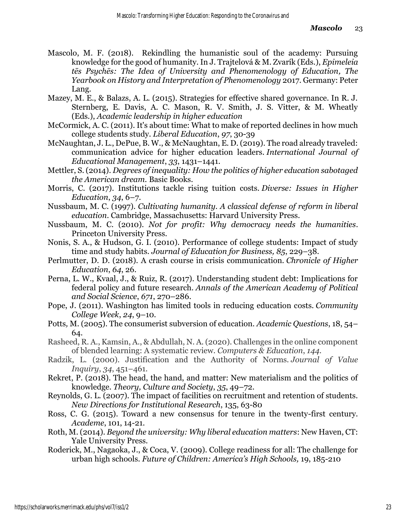- Mascolo, M. F. (2018). Rekindling the humanistic soul of the academy: Pursuing knowledge for the good of humanity. In J. Trajtelová & M. Zvarík (Eds.), *Epimeleia tēs Psychēs: The Idea of University and Phenomenology of Education, The Yearbook on History and Interpretation of Phenomenology* 2017. Germany: Peter Lang.
- Mazey, M. E., & Balazs, A. L. (2015). Strategies for effective shared governance. In R. J. Sternberg, E. Davis, A. C. Mason, R. V. Smith, J. S. Vitter, & M. Wheatly (Eds.), *Academic leadership in higher education*
- McCormick, A. C. (2011). It's about time: What to make of reported declines in how much college students study. *Liberal Education*, *97*, 30-39
- McNaughtan, J. L., DePue, B. W., & McNaughtan, E. D. (2019). The road already traveled: communication advice for higher education leaders. *International Journal of Educational Management*, *33*, 1431–1441.
- Mettler, S. (2014). *Degrees of inequality: How the politics of higher education sabotaged the American dream.* Basic Books.
- Morris, C. (2017). Institutions tackle rising tuition costs. *Diverse: Issues in Higher Education*, *34*, 6–7.
- Nussbaum, M. C. (1997). *Cultivating humanity. A classical defense of reform in liberal education*. Cambridge, Massachusetts: Harvard University Press.
- Nussbaum, M. C. (2010). *Not for profit: Why democracy needs the humanities*. Princeton University Press.
- Nonis, S. A., & Hudson, G. I. (2010). Performance of college students: Impact of study time and study habits. *Journal of Education for Business, 85*, 229–38.
- Perlmutter, D. D. (2018). A crash course in crisis communication. *Chronicle of Higher Education*, *64*, 26.
- Perna, L. W., Kvaal, J., & Ruiz, R. (2017). Understanding student debt: Implications for federal policy and future research. *Annals of the American Academy of Political and Social Science*, *671*, 270–286.
- Pope, J. (2011). Washington has limited tools in reducing education costs. *Community College Week*, *24*, 9–10.
- Potts*,* M. (2005). The consumerist subversion of education. *Academic Questions*, 18, 54– 64.
- Rasheed, R. A., Kamsin, A., & Abdullah, N. A. (2020). Challenges in the online component of blended learning: A systematic review. *Computers & Education*, *144*.
- Radzik, L. (2000). Justification and the Authority of Norms. *Journal of Value Inquiry*, *34*, 451–461.
- Rekret, P. (2018). The head, the hand, and matter: New materialism and the politics of knowledge. *Theory, Culture and Society*, *35*, 49–72.
- Reynolds, G. L. (2007). The impact of facilities on recruitment and retention of students. *New Directions for Institutional Research*, 135, 63-80
- Ross, C. G. (2015). Toward a new consensus for tenure in the twenty-first century. *Academe*, 101, 14-21.
- Roth, M. (2014). *Beyond the university: Why liberal education matters*: New Haven, CT: Yale University Press.
- Roderick, M., Nagaoka, J., & Coca, V. (2009). College readiness for all: The challenge for urban high schools. *Future of Children: America's High Schools,* 19, 185-210